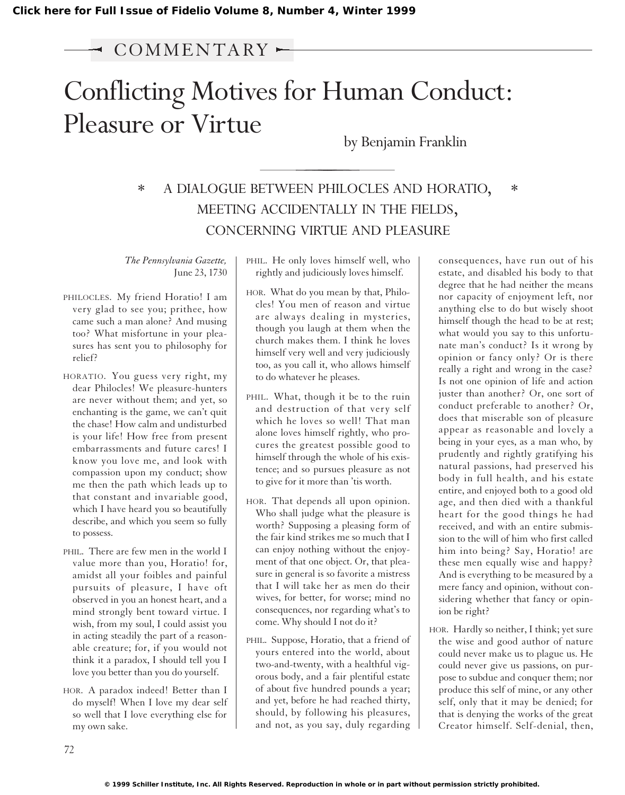# $\sim$  COMMENTARY  $\sim$

# Conflicting Motives for Human Conduct: Pleasure or Virtue

by Benjamin Franklin

## \* A DIALOGUE BETWEEN PHILOCLES AND HORATIO, \* MEETING ACCIDENTALLY IN THE FIELDS, CONCERNING VIRTUE AND PLEASURE

*The Pennsylvania Gazette,* June 23, 1730

- PHILOCLES. My friend Horatio! I am very glad to see you; prithee, how came such a man alone? And musing too? What misfortune in your pleasures has sent you to philosophy for relief?
- HORATIO. You guess very right, my dear Philocles! We pleasure-hunters are never without them; and yet, so enchanting is the game, we can't quit the chase! How calm and undisturbed is your life! How free from present embarrassments and future cares! I know you love me, and look with compassion upon my conduct; show me then the path which leads up to that constant and invariable good, which I have heard you so beautifully describe, and which you seem so fully to possess.
- PHIL. There are few men in the world I value more than you, Horatio! for, amidst all your foibles and painful pursuits of pleasure, I have oft observed in you an honest heart, and a mind strongly bent toward virtue. I wish, from my soul, I could assist you in acting steadily the part of a reasonable creature; for, if you would not think it a paradox, I should tell you I love you better than you do yourself.
- HOR. A paradox indeed! Better than I do myself! When I love my dear self so well that I love everything else for my own sake.

PHIL. He only loves himself well, who rightly and judiciously loves himself.

- HOR. What do you mean by that, Philocles! You men of reason and virtue are always dealing in mysteries, though you laugh at them when the church makes them. I think he loves himself very well and very judiciously too, as you call it, who allows himself to do whatever he pleases.
- PHIL. What, though it be to the ruin and destruction of that very self which he loves so well! That man alone loves himself rightly, who procures the greatest possible good to himself through the whole of his existence; and so pursues pleasure as not to give for it more than 'tis worth.
- HOR. That depends all upon opinion. Who shall judge what the pleasure is worth? Supposing a pleasing form of the fair kind strikes me so much that I can enjoy nothing without the enjoyment of that one object. Or, that pleasure in general is so favorite a mistress that I will take her as men do their wives, for better, for worse; mind no consequences, nor regarding what's to come. Why should I not do it?
- PHIL. Suppose, Horatio, that a friend of yours entered into the world, about two-and-twenty, with a healthful vigorous body, and a fair plentiful estate of about five hundred pounds a year; and yet, before he had reached thirty, should, by following his pleasures, and not, as you say, duly regarding

consequences, have run out of his estate, and disabled his body to that degree that he had neither the means nor capacity of enjoyment left, nor anything else to do but wisely shoot himself though the head to be at rest; what would you say to this unfortunate man's conduct? Is it wrong by opinion or fancy only? Or is there really a right and wrong in the case? Is not one opinion of life and action juster than another? Or, one sort of conduct preferable to another? Or, does that miserable son of pleasure appear as reasonable and lovely a being in your eyes, as a man who, by prudently and rightly gratifying his natural passions, had preserved his body in full health, and his estate entire, and enjoyed both to a good old age, and then died with a thankful heart for the good things he had received, and with an entire submission to the will of him who first called him into being? Say, Horatio! are these men equally wise and happy? And is everything to be measured by a mere fancy and opinion, without considering whether that fancy or opinion be right?

HOR. Hardly so neither, I think; yet sure the wise and good author of nature could never make us to plague us. He could never give us passions, on purpose to subdue and conquer them; nor produce this self of mine, or any other self, only that it may be denied; for that is denying the works of the great Creator himself. Self-denial, then,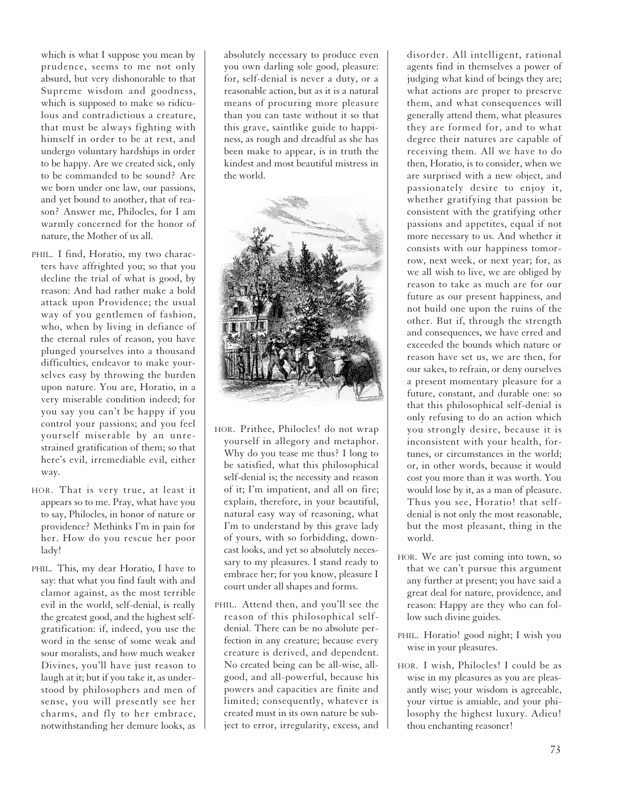which is what I suppose you mean by prudence, seems to me not only absurd, but very dishonorable to that Supreme wisdom and goodness, which is supposed to make so ridiculous and contradictious a creature, that must be always fighting with himself in order to be at rest, and undergo voluntary hardships in order to be happy. Are we created sick, only to be commanded to be sound? Are we born under one law, our passions, and yet bound to another, that of reason? Answer me, Philocles, for I am warmly concerned for the honor of nature, the Mother of us all.

- PHIL. I find, Horatio, my two characters have affrighted you; so that you decline the trial of what is good, by reason: And had rather make a bold attack upon Providence; the usual way of you gentlemen of fashion, who, when by living in defiance of the eternal rules of reason, you have plunged yourselves into a thousand difficulties, endeavor to make yourselves easy by throwing the burden upon nature. You are, Horatio, in a very miserable condition indeed; for you say you can't be happy if you control your passions; and you feel yourself miserable by an unrestrained gratification of them; so that here's evil, irremediable evil, either way.
- HOR. That is very true, at least it appears so to me. Pray, what have you to say, Philocles, in honor of nature or providence? Methinks I'm in pain for her. How do you rescue her poor lady!
- PHIL. This, my dear Horatio, I have to say: that what you find fault with and clamor against, as the most terrible evil in the world, self-denial, is really the greatest good, and the highest selfgratification: if, indeed, you use the word in the sense of some weak and sour moralists, and how much weaker Divines, you'll have just reason to laugh at it; but if you take it, as understood by philosophers and men of sense, you will presently see her charms, and fly to her embrace, notwithstanding her demure looks, as

absolutely necessary to produce even you own darling sole good, pleasure: for, self-denial is never a duty, or a reasonable action, but as it is a natural means of procuring more pleasure than you can taste without it so that this grave, saintlike guide to happiness, as rough and dreadful as she has been make to appear, is in truth the kindest and most beautiful mistress in the world.



- HOR. Prithee, Philocles! do not wrap yourself in allegory and metaphor. Why do you tease me thus? I long to be satisfied, what this philosophical self-denial is; the necessity and reason of it; I'm impatient, and all on fire; explain, therefore, in your beautiful, natural easy way of reasoning, what I'm to understand by this grave lady of yours, with so forbidding, downcast looks, and yet so absolutely necessary to my pleasures. I stand ready to embrace her; for you know, pleasure I court under all shapes and forms.
- PHIL. Attend then, and you'll see the reason of this philosophical selfdenial. There can be no absolute perfection in any creature; because every creature is derived, and dependent. No created being can be all-wise, allgood, and all-powerful, because his powers and capacities are finite and limited; consequently, whatever is created must in its own nature be subject to error, irregularity, excess, and

disorder. All intelligent, rational agents find in themselves a power of judging what kind of beings they are; what actions are proper to preserve them, and what consequences will generally attend them, what pleasures they are formed for, and to what degree their natures are capable of receiving them. All we have to do then, Horatio, is to consider, when we are surprised with a new object, and passionately desire to enjoy it, whether gratifying that passion be consistent with the gratifying other passions and appetites, equal if not more necessary to us. And whether it consists with our happiness tomorrow, next week, or next year; for, as we all wish to live, we are obliged by reason to take as much are for our future as our present happiness, and not build one upon the ruins of the other. But if, through the strength and consequences, we have erred and exceeded the bounds which nature or reason have set us, we are then, for our sakes, to refrain, or deny ourselves a present momentary pleasure for a future, constant, and durable one: so that this philosophical self-denial is only refusing to do an action which you strongly desire, because it is inconsistent with your health, fortunes, or circumstances in the world; or, in other words, because it would cost you more than it was worth. You would lose by it, as a man of pleasure. Thus you see, Horatio! that selfdenial is not only the most reasonable, but the most pleasant, thing in the world.

- HOR. We are just coming into town, so that we can't pursue this argument any further at present; you have said a great deal for nature, providence, and reason: Happy are they who can follow such divine guides.
- PHIL. Horatio! good night; I wish you wise in your pleasures.
- HOR. I wish, Philocles! I could be as wise in my pleasures as you are pleasantly wise; your wisdom is agreeable, your virtue is amiable, and your philosophy the highest luxury. Adieu! thou enchanting reasoner!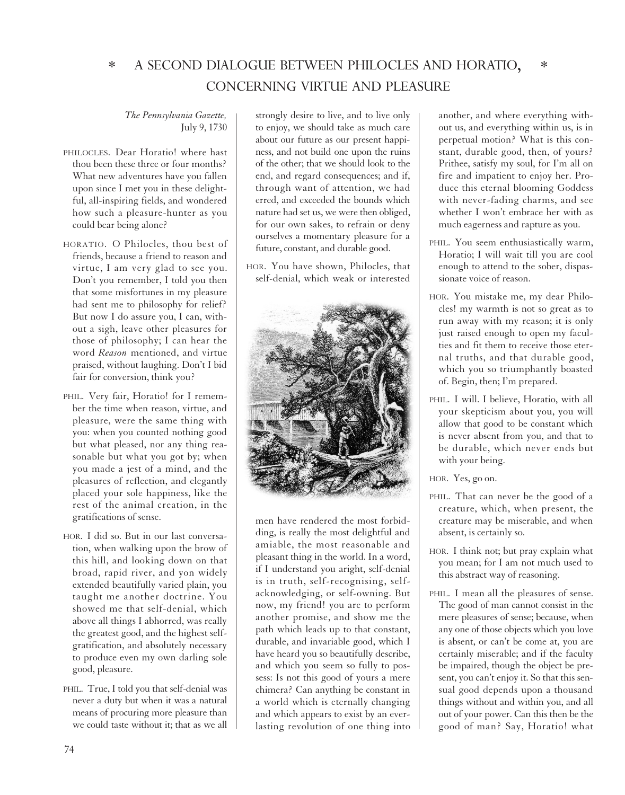#### \* A SECOND DIALOGUE BETWEEN PHILOCLES AND HORATIO, \* CONCERNING VIRTUE AND PLEASURE

### *The Pennsylvania Gazette,* July 9, 1730

- PHILOCLES. Dear Horatio! where hast thou been these three or four months? What new adventures have you fallen upon since I met you in these delightful, all-inspiring fields, and wondered how such a pleasure-hunter as you could bear being alone?
- HORATIO. O Philocles, thou best of friends, because a friend to reason and virtue, I am very glad to see you. Don't you remember, I told you then that some misfortunes in my pleasure had sent me to philosophy for relief? But now I do assure you, I can, without a sigh, leave other pleasures for those of philosophy; I can hear the word *Reason* mentioned, and virtue praised, without laughing. Don't I bid fair for conversion, think you?
- PHIL. Very fair, Horatio! for I remember the time when reason, virtue, and pleasure, were the same thing with you: when you counted nothing good but what pleased, nor any thing reasonable but what you got by; when you made a jest of a mind, and the pleasures of reflection, and elegantly placed your sole happiness, like the rest of the animal creation, in the gratifications of sense.
- HOR. I did so. But in our last conversation, when walking upon the brow of this hill, and looking down on that broad, rapid river, and yon widely extended beautifully varied plain, you taught me another doctrine. You showed me that self-denial, which above all things I abhorred, was really the greatest good, and the highest selfgratification, and absolutely necessary to produce even my own darling sole good, pleasure.
- PHIL. True, I told you that self-denial was never a duty but when it was a natural means of procuring more pleasure than we could taste without it; that as we all

strongly desire to live, and to live only to enjoy, we should take as much care about our future as our present happiness, and not build one upon the ruins of the other; that we should look to the end, and regard consequences; and if, through want of attention, we had erred, and exceeded the bounds which nature had set us, we were then obliged, for our own sakes, to refrain or deny ourselves a momentary pleasure for a future, constant, and durable good.

HOR. You have shown, Philocles, that self-denial, which weak or interested



men have rendered the most forbidding, is really the most delightful and amiable, the most reasonable and pleasant thing in the world. In a word, if I understand you aright, self-denial is in truth, self-recognising, selfacknowledging, or self-owning. But now, my friend! you are to perform another promise, and show me the path which leads up to that constant, durable, and invariable good, which I have heard you so beautifully describe, and which you seem so fully to possess: Is not this good of yours a mere chimera? Can anything be constant in a world which is eternally changing and which appears to exist by an everlasting revolution of one thing into

another, and where everything without us, and everything within us, is in perpetual motion? What is this constant, durable good, then, of yours? Prithee, satisfy my soul, for I'm all on fire and impatient to enjoy her. Produce this eternal blooming Goddess with never-fading charms, and see whether I won't embrace her with as much eagerness and rapture as you.

- PHIL. You seem enthusiastically warm, Horatio; I will wait till you are cool enough to attend to the sober, dispassionate voice of reason.
- HOR. You mistake me, my dear Philocles! my warmth is not so great as to run away with my reason; it is only just raised enough to open my faculties and fit them to receive those eternal truths, and that durable good, which you so triumphantly boasted of. Begin, then; I'm prepared.
- PHIL. I will. I believe, Horatio, with all your skepticism about you, you will allow that good to be constant which is never absent from you, and that to be durable, which never ends but with your being.
- HOR. Yes, go on.
- PHIL. That can never be the good of a creature, which, when present, the creature may be miserable, and when absent, is certainly so.
- HOR. I think not; but pray explain what you mean; for I am not much used to this abstract way of reasoning.
- PHIL. I mean all the pleasures of sense. The good of man cannot consist in the mere pleasures of sense; because, when any one of those objects which you love is absent, or can't be come at, you are certainly miserable; and if the faculty be impaired, though the object be present, you can't enjoy it. So that this sensual good depends upon a thousand things without and within you, and all out of your power. Can this then be the good of man? Say, Horatio! what